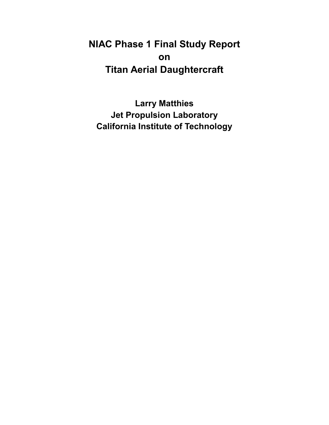# **NIAC Phase 1 Final Study Report on Titan Aerial Daughtercraft**

**Larry Matthies Jet Propulsion Laboratory California Institute of Technology**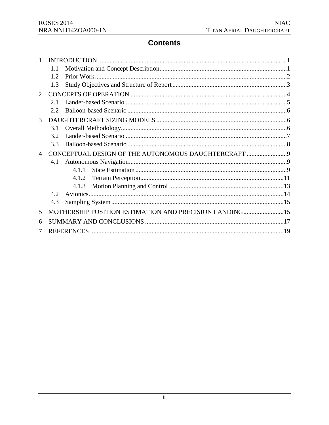## **Contents**

|                             | 1.1                                                    |       |  |
|-----------------------------|--------------------------------------------------------|-------|--|
|                             | 1.2                                                    |       |  |
|                             | 1.3                                                    |       |  |
| $\mathcal{D}_{\mathcal{L}}$ |                                                        |       |  |
|                             | 2.1                                                    |       |  |
|                             | 2.2.                                                   |       |  |
| 3                           |                                                        |       |  |
|                             | 3.1                                                    |       |  |
|                             | 3.2                                                    |       |  |
|                             | 3.3                                                    |       |  |
| $\overline{4}$              |                                                        |       |  |
|                             | 4.1                                                    |       |  |
|                             |                                                        | 4.1.1 |  |
|                             |                                                        | 4.1.2 |  |
|                             |                                                        | 4.1.3 |  |
|                             | 4.2.                                                   |       |  |
|                             | 4.3                                                    |       |  |
| 5                           | MOTHERSHIP POSITION ESTIMATION AND PRECISION LANDING15 |       |  |
| 6                           |                                                        |       |  |
|                             |                                                        |       |  |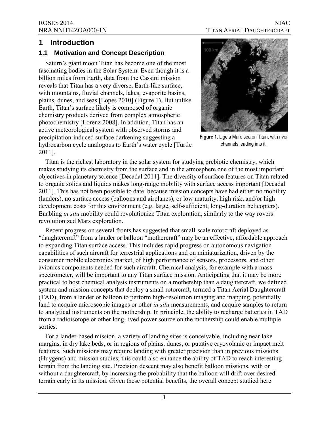### <span id="page-2-0"></span>**1 Introduction**

#### **1.1 Motivation and Concept Description**

 **Saturn's giant moon Titan has become one of the most fascinating bodies in the Solar System. Even though it is a billion miles from Earth, data from the Cassini mission reveals that Titan has a very diverse, Earth-like surface, with mountains, fluvial channels, lakes, evaporite basins, plains, dunes, and seas [Lopes 2010] (Figure 1). But unlike Earth, Titan's surface likely is composed of organic chemistry products derived from complex atmospheric photochemistry [Lorenz 2008]. In addition, Titan has an active meteorological system with observed storms and precipitation-induced surface darkening suggesting a hydrocarbon cycle analogous to Earth's water cycle [Turtle 2011].** 



**Figure 1.** Ligeia Mare sea on Titan, with river channels leading into it.

**Titan is the richest laboratory in the solar system for studying prebiotic chemistry, which makes studying its chemistry from the surface and in the atmosphere one of the most important objectives in planetary science [Decadal 2011]. The diversity of surface features on Titan related to organic solids and liquids makes long-range mobility with surface access important [Decadal 2011]. This has not been possible to date, because mission concepts have had either no mobility (landers), no surface access (balloons and airplanes), or low maturity, high risk, and/or high development costs for this environment (e,g. large, self-sufficient, long-duration helicopters). Enabling** *in situ* **mobility could revolutionize Titan exploration, similarly to the way rovers revolutionized Mars exploration.** 

**Recent progress on several fronts has suggested that small-scale rotorcraft deployed as "daughtercraft" from a lander or balloon "mothercraft" may be an effective, affordable approach to expanding Titan surface access. This includes rapid progress on autonomous navigation capabilities of such aircraft for terrestrial applications and on miniaturization, driven by the consumer mobile electronics market, of high performance of sensors, processors, and other avionics components needed for such aircraft. Chemical analysis, for example with a mass spectrometer, will be important to any Titan surface mission. Anticipating that it may be more practical to host chemical analysis instruments on a mothership than a daughtercraft, we defined system and mission concepts that deploy a small rotorcraft, termed a Titan Aerial Daughtercraft (TAD), from a lander or balloon to perform high-resolution imaging and mapping, potentially land to acquire microscopic images or other** *in situ* **measurements, and acquire samples to return to analytical instruments on the mothership. In principle, the ability to recharge batteries in TAD from a radioisotope or other long-lived power source on the mothership could enable multiple sorties.** 

**For a lander-based mission, a variety of landing sites is conceivable, including near lake margins, in dry lake beds, or in regions of plains, dunes, or putative cryovolanic or impact melt features. Such missions may require landing with greater precision than in previous missions (Huygens) and mission studies; this could also enhance the ability of TAD to reach interesting terrain from the landing site. Precision descent may also benefit balloon missions, with or without a daughtercraft, by increasing the probability that the balloon will drift over desired terrain early in its mission. Given these potential benefits, the overall concept studied here**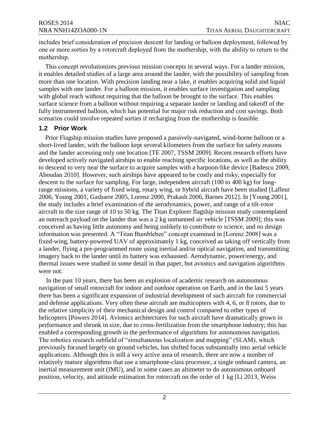<span id="page-3-0"></span>**includes brief consideration of precision descent for landing or balloon deployment, followed by one or more sorties by a rotorcraft deployed from the mothership, with the ability to return to the mothership.** 

**This concept** revolutionizes previous mission concepts in several ways. For a lander mission, it enables detailed studies of a large area around the lander, with the possibility of sampling from more than one location. With precision landing near a lake, it enables acquiring solid and liquid samples with one lander. For a balloon mission, it enables surface investigation and sampling with global reach without requiring that the balloon be brought to the surface. This enables surface science from a balloon without requiring a separate lander or landing and takeoff of the fully instrumented balloon, which has potential for major risk reduction and cost savings. Both scenarios could involve repeated sorties if recharging from the mothership is feasible.

#### **1.2 Prior Work**

Prior Flagship mission studies have proposed a passively-navigated, wind-borne balloon or a short-lived lander, with the balloon kept several kilometers from the surface for safety reasons and the lander accessing only one location [TE 2007, TSSM 2009]. Recent research efforts have developed actively navigated airships to enable reaching specific locations, as well as the ability to descend to very near the surface to acquire samples with a harpoon-like device [Badescu 2009, Aboudan 2010]. However, such airships have appeared to be costly and risky, especially for descent to the surface for sampling. For large, independent aircraft (100 to 400 kg) for longrange missions, a variety of fixed wing, rotary wing, or hybrid aircraft have been studied [Lafleur 2006, Young 2001, Gasbarre 2005, Lorenz 2000, Prakash 2006, Barnes 2012]. In [Young 2001], the study includes a brief examination of the aerodynamics, power, and range of a tilt-rotor aircraft in the size range of 10 to 50 kg. The Titan Explorer flagship mission study contemplated an outreach payload on the lander that was a 2 kg unmanned air vehicle [TSSM 2009]; this was conceived as having little autonomy and being unlikely to contribute to science, and no design information was presented. A "Titan Bumblebee" concept examined in [Lorenz 2008] was a fixed-wing, battery-powered UAV of approximately 1 kg, conceived as taking off vertically from a lander, flying a pre-programmed route using inertial and/or optical navigation, and transmitting imagery back to the lander until its battery was exhausted. Aerodynamic, power/energy, and thermal issues were studied in some detail in that paper, but avionics and navigation algorithms were not.

In the past 10 years, there has been an explosion of academic research on autonomous navigation of small rotorcraft for indoor and outdoor operation on Earth, and in the last 5 years there has been a significant expansion of industrial development of such aircraft for commercial and defense applications. Very often these aircraft are multicopters with 4, 6, or 8 rotors, due to the relative simplicity of their mechanical design and control compared to other types of helicopters [Powers 2014]. Avionics architectures for such aircraft have dramatically grown in performance and shrunk in size, due to cross-fertilization from the smartphone industry; this has enabled a corresponding growth in the performance of algorithms for autonomous navigation. The robotics research subfield of "simultaneous localization and mapping" (SLAM), which previously focused largely on ground vehicles, has shifted focus substantially into aerial vehicle applications. Although this is still a very active area of research, there are now a number of relatively mature algorithms that use a smartphone-class processor, a single onboard camera, an inertial measurement unit (IMU), and in some cases an altimeter to do autonomous onboard position, velocity, and attitude estimation for rotorcraft on the order of 1 kg [Li 2013, Weiss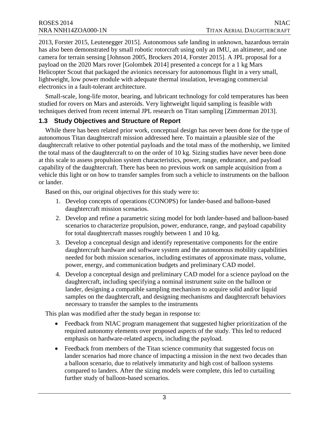<span id="page-4-0"></span> has also been demonstrated by small robotic rotorcraft using only an IMU, an altimeter, and one payload on the 2020 Mars rover [Golombek 2014] presented a concept for a 1 kg Mars Helicopter Scout that packaged the avionics necessary for autonomous flight in a very small, electronics in a fault-tolerant architecture. 2013, Forster 2015, Leutenegger 2015]. Autonomous safe landing in unknown, hazardous terrain camera for terrain sensing [Johnson 2005, Brockers 2014, Forster 2015]. A JPL proposal for a lightweight, low power module with adequate thermal insulation, leveraging commercial

Small-scale, long-life motor, bearing, and lubricant technology for cold temperatures has been studied for rovers on Mars and asteroids. Very lightweight liquid sampling is feasible with techniques derived from recent internal JPL research on Titan sampling [Zimmerman 2013].

#### **1.3 Study Objectives and Structure of Report**

While there has been related prior work, conceptual design has never been done for the type of autonomous Titan daughtercraft mission addressed here. To maintain a plausible size of the daughtercraft relative to other potential payloads and the total mass of the mothership, we limited the total mass of the daughtercraft to on the order of 10 kg. Sizing studies have never been done at this scale to assess propulsion system characteristics, power, range, endurance, and payload capability of the daughtercraft. There has been no previous work on sample acquisition from a vehicle this light or on how to transfer samples from such a vehicle to instruments on the balloon or lander.

Based on this, our original objectives for this study were to:

- 1. Develop concepts of operations (CONOPS) for lander-based and balloon-based daughtercraft mission scenarios.
- 2. Develop and refine a parametric sizing model for both lander-based and balloon-based scenarios to characterize propulsion, power, endurance, range, and payload capability for total daughtercraft masses roughly between 1 and 10 kg.
- 3. Develop a conceptual design and identify representative components for the entire daughtercraft hardware and software system and the autonomous mobility capabilities needed for both mission scenarios, including estimates of approximate mass, volume, power, energy, and communication budgets and preliminary CAD model.
- 4. Develop a conceptual design and preliminary CAD model for a science payload on the daughtercraft, including specifying a nominal instrument suite on the balloon or lander, designing a compatible sampling mechanism to acquire solid and/or liquid samples on the daughtercraft, and designing mechanisms and daughtercraft behaviors necessary to transfer the samples to the instruments

This plan was modified after the study began in response to:

- Feedback from NIAC program management that suggested higher prioritization of the required autonomy elements over proposed aspects of the study. This led to reduced emphasis on hardware-related aspects, including the payload.
- lander scenarios had more chance of impacting a mission in the next two decades than • Feedback from members of the Titan science community that suggested focus on a balloon scenario, due to relatively immaturity and high cost of balloon systems compared to landers. After the sizing models were complete, this led to curtailing further study of balloon-based scenarios.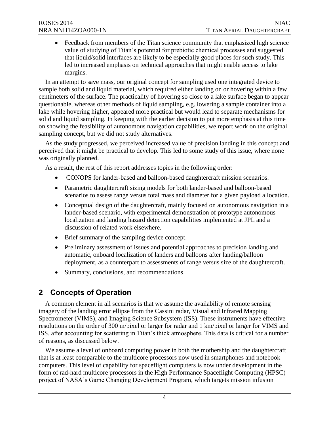<span id="page-5-0"></span>• Feedback from members of the Titan science community that emphasized high science value of studying of Titan's potential for prebiotic chemical processes and suggested that liquid/solid interfaces are likely to be especially good places for such study. This led to increased emphasis on technical approaches that might enable access to lake margins.

 sampling concept, but we did not study alternatives. In an attempt to save mass, our original concept for sampling used one integrated device to sample both solid and liquid material, which required either landing on or hovering within a few centimeters of the surface. The practicality of hovering so close to a lake surface began to appear questionable, whereas other methods of liquid sampling, e.g. lowering a sample container into a lake while hovering higher, appeared more practical but would lead to separate mechanisms for solid and liquid sampling. In keeping with the earlier decision to put more emphasis at this time on showing the feasibility of autonomous navigation capabilities, we report work on the original

 As the study progressed, we perceived increased value of precision landing in this concept and perceived that it might be practical to develop. This led to some study of this issue, where none was originally planned.

As a result, the rest of this report addresses topics in the following order:

- CONOPS for lander-based and balloon-based daughtercraft mission scenarios.
- Parametric daughtercraft sizing models for both lander-based and balloon-based scenarios to assess range versus total mass and diameter for a given payload allocation.
- localization and landing hazard detection capabilities implemented at JPL and a • Conceptual design of the daughtercraft, mainly focused on autonomous navigation in a lander-based scenario, with experimental demonstration of prototype autonomous discussion of related work elsewhere.
- Brief summary of the sampling device concept.
- Preliminary assessment of issues and potential approaches to precision landing and automatic, onboard localization of landers and balloons after landing/balloon deployment, as a counterpart to assessments of range versus size of the daughtercraft.
- Summary, conclusions, and recommendations.

## **2 Concepts of Operation**

 A common element in all scenarios is that we assume the availability of remote sensing Spectrometer (VIMS), and Imaging Science Subsystem (ISS). These instruments have effective resolutions on the order of 300 m/pixel or larger for radar and 1 km/pixel or larger for VIMS and ISS, after accounting for scattering in Titan's thick atmosphere. This data is critical for a number imagery of the landing error ellipse from the Cassini radar, Visual and Infrared Mapping of reasons, as discussed below.

 computers. This level of capability for spaceflight computers is now under development in the form of rad-hard multicore processors in the High Performance Spaceflight Computing (HPSC) We assume a level of onboard computing power in both the mothership and the daughtercraft that is at least comparable to the multicore processors now used in smartphones and notebook project of NASA's Game Changing Development Program, which targets mission infusion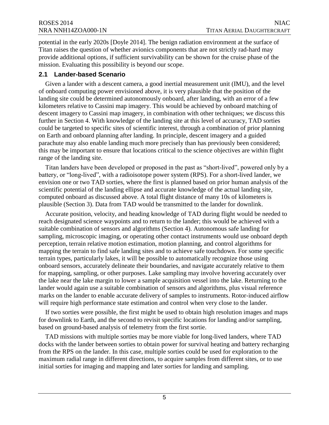<span id="page-6-0"></span>potential in the early 2020s [Doyle 2014]. The benign radiation environment at the surface of Titan raises the question of whether avionics components that are not strictly rad-hard may provide additional options, if sufficient survivability can be shown for the cruise phase of the mission. Evaluating this possibility is beyond our scope.

#### **2.1 Lander-based Scenario**

 on Earth and onboard planning after landing. In principle, descent imagery and a guided Given a lander with a descent camera, a good inertial measurement unit (IMU), and the level of onboard computing power envisioned above, it is very plausible that the position of the landing site could be determined autonomously onboard, after landing, with an error of a few kilometers relative to Cassini map imagery. This would be achieved by onboard matching of descent imagery to Cassini map imagery, in combination with other techniques; we discuss this further in Section 4. With knowledge of the landing site at this level of accuracy, TAD sorties could be targeted to specific sites of scientific interest, through a combination of prior planning parachute may also enable landing much more precisely than has previously been considered; this may be important to ensure that locations critical to the science objectives are within flight range of the landing site.

 Titan landers have been developed or proposed in the past as "short-lived", powered only by a battery, or "long-lived", with a radioisotope power system (RPS). For a short-lived lander, we envision one or two TAD sorties, where the first is planned based on prior human analysis of the scientific potential of the landing ellipse and accurate knowledge of the actual landing site, computed onboard as discussed above. A total flight distance of many 10s of kilometers is plausible (Section 3). Data from TAD would be transmitted to the lander for downlink.

Accurate position, velocity, and heading knowledge of TAD during flight would be needed to reach designated science waypoints and to return to the lander; this would be achieved with a suitable combination of sensors and algorithms (Section 4). Autonomous safe landing for sampling, microscopic imaging, or operating other contact instruments would use onboard depth perception, terrain relative motion estimation, motion planning, and control algorithms for mapping the terrain to find safe landing sites and to achieve safe touchdown. For some specific terrain types, particularly lakes, it will be possible to automatically recognize those using onboard sensors, accurately delineate their boundaries, and navigate accurately relative to them for mapping, sampling, or other purposes. Lake sampling may involve hovering accurately over the lake near the lake margin to lower a sample acquisition vessel into the lake. Returning to the lander would again use a suitable combination of sensors and algorithms, plus visual reference marks on the lander to enable accurate delivery of samples to instruments. Rotor-induced airflow will require high performance state estimation and control when very close to the lander.

If two sorties were possible, the first might be used to obtain high resolution images and maps for downlink to Earth, and the second to revisit specific locations for landing and/or sampling, based on ground-based analysis of telemetry from the first sortie.

TAD missions with multiple sorties may be more viable for long-lived landers, where TAD docks with the lander between sorties to obtain power for survival heating and battery recharging from the RPS on the lander. In this case, multiple sorties could be used for exploration to the maximum radial range in different directions, to acquire samples from different sites, or to use initial sorties for imaging and mapping and later sorties for landing and sampling.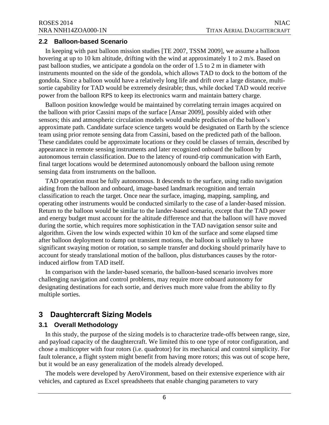#### <span id="page-7-0"></span>**2.2 Balloon-based Scenario**

In keeping with past balloon mission studies [TE 2007, TSSM 2009], we assume a balloon hovering at up to 10 km altitude, drifting with the wind at approximately 1 to 2 m/s. Based on past balloon studies, we anticipate a gondola on the order of 1.5 to 2 m in diameter with instruments mounted on the side of the gondola, which allows TAD to dock to the bottom of the gondola. Since a balloon would have a relatively long life and drift over a large distance, multisortie capability for TAD would be extremely desirable; thus, while docked TAD would receive power from the balloon RPS to keep its electronics warm and maintain battery charge.

 appearance in remote sensing instruments and later recognized onboard the balloon by Balloon position knowledge would be maintained by correlating terrain images acquired on the balloon with prior Cassini maps of the surface [Ansar 2009], possibly aided with other sensors; this and atmospheric circulation models would enable prediction of the balloon's approximate path. Candidate surface science targets would be designated on Earth by the science team using prior remote sensing data from Cassini, based on the predicted path of the balloon. These candidates could be approximate locations or they could be classes of terrain, described by autonomous terrain classification. Due to the latency of round-trip communication with Earth, final target locations would be determined autonomously onboard the balloon using remote sensing data from instruments on the balloon.

TAD operation must be fully autonomous. It descends to the surface, using radio navigation aiding from the balloon and onboard, image-based landmark recognition and terrain classification to reach the target. Once near the surface, imaging, mapping, sampling, and operating other instruments would be conducted similarly to the case of a lander-based mission. Return to the balloon would be similar to the lander-based scenario, except that the TAD power and energy budget must account for the altitude difference and that the balloon will have moved during the sortie, which requires more sophistication in the TAD navigation sensor suite and algorithm. Given the low winds expected within 10 km of the surface and some elapsed time after balloon deployment to damp out transient motions, the balloon is unlikely to have significant swaying motion or rotation, so sample transfer and docking should primarily have to account for steady translational motion of the balloon, plus disturbances causes by the rotorinduced airflow from TAD itself.

In comparison with the lander-based scenario, the balloon-based scenario involves more challenging navigation and control problems, may require more onboard autonomy for designating destinations for each sortie, and derives much more value from the ability to fly multiple sorties.

## **3 Daughtercraft Sizing Models**

#### **3.1 Overall Methodology**

In this study, the purpose of the sizing models is to characterize trade-offs between range, size, and payload capacity of the daughtercraft. We limited this to one type of rotor configuration, and chose a multicopter with four rotors (i.e. quadrotor) for its mechanical and control simplicity. For fault tolerance, a flight system might benefit from having more rotors; this was out of scope here, but it would be an easy generalization of the models already developed.

The models were developed by AeroVironment, based on their extensive experience with air vehicles, and captured as Excel spreadsheets that enable changing parameters to vary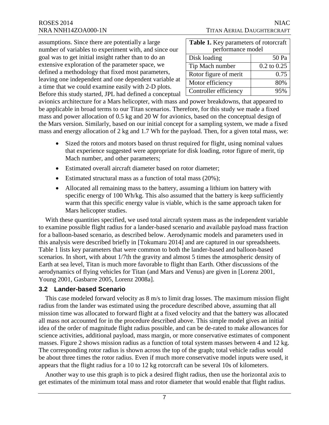<span id="page-8-0"></span>assumptions. Since there are potentially a large number of variables to experiment with, and since our goal was to get initial insight rather than to do an extensive exploration of the parameter space, we defined a methodology that fixed most parameters, leaving one independent and one dependent variable at a time that we could examine easily with 2-D plots. Before this study started, JPL had defined a conceptual

| <b>Table 1.</b> Key parameters of rotorcraft |                 |  |  |
|----------------------------------------------|-----------------|--|--|
| performance model                            |                 |  |  |
| Disk loading                                 | 50 Pa           |  |  |
| Tip Mach number                              | $0.2$ to $0.25$ |  |  |
| Rotor figure of merit                        | 0.75            |  |  |
| Motor efficiency                             | 80%             |  |  |
| Controller efficiency                        | 95%             |  |  |

avionics architecture for a Mars helicopter, with mass and power breakdowns, that appeared to be applicable in broad terms to our Titan scenarios. Therefore, for this study we made a fixed mass and power allocation of 0.5 kg and 20 W for avionics, based on the conceptual design of the Mars version. Similarly, based on our initial concept for a sampling system, we made a fixed mass and energy allocation of 2 kg and 1.7 Wh for the payload. Then, for a given total mass, we:

- Sized the rotors and motors based on thrust required for flight, using nominal values that experience suggested were appropriate for disk loading, rotor figure of merit, tip Mach number, and other parameters;
- Estimated overall aircraft diameter based on rotor diameter;
- Estimated structural mass as a function of total mass  $(20\%)$ ;
- Allocated all remaining mass to the battery, assuming a lithium ion battery with specific energy of 100 Wh/kg. This also assumed that the battery is keep sufficiently warm that this specific energy value is viable, which is the same approach taken for Mars helicopter studies.

With these quantities specified, we used total aircraft system mass as the independent variable to examine possible flight radius for a lander-based scenario and available payload mass fraction for a balloon-based scenario, as described below. Aerodynamic models and parameters used in this analysis were described briefly in [Tokumaru 2014] and are captured in our spreadsheets. Table 1 lists key parameters that were common to both the lander-based and balloon-based scenarios. In short, with about 1/7th the gravity and almost 5 times the atmospheric density of Earth at sea level, Titan is much more favorable to flight than Earth. Other discussions of the aerodynamics of flying vehicles for Titan (and Mars and Venus) are given in [Lorenz 2001, Young 2001, Gasbarre 2005, Lorenz 2008a].

#### **3.2 Lander-based Scenario**

This case modeled forward velocity as 8 m/s to limit drag losses. The maximum mission flight radius from the lander was estimated using the procedure described above, assuming that all mission time was allocated to forward flight at a fixed velocity and that the battery was allocated all mass not accounted for in the procedure described above. This simple model gives an initial idea of the order of magnitude flight radius possible, and can be de-rated to make allowances for science activities, additional payload, mass margin, or more conservative estimates of component masses. Figure 2 shows mission radius as a function of total system masses between 4 and 12 kg. The corresponding rotor radius is shown across the top of the graph; total vehicle radius would be about three times the rotor radius. Even if much more conservative model inputs were used, it appears that the flight radius for a 10 to 12 kg rotorcraft can be several 10s of kilometers.

Another way to use this graph is to pick a desired flight radius, then use the horizontal axis to get estimates of the minimum total mass and rotor diameter that would enable that flight radius.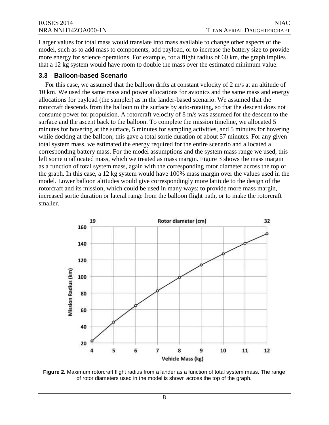<span id="page-9-0"></span>Larger values for total mass would translate into mass available to change other aspects of the model, such as to add mass to components, add payload, or to increase the battery size to provide more energy for science operations. For example, for a flight radius of 60 km, the graph implies that a 12 kg system would have room to double the mass over the estimated minimum value.

#### **3.3 Balloon-based Scenario**

 increased sortie duration or lateral range from the balloon flight path, or to make the rotorcraft For this case, we assumed that the balloon drifts at constant velocity of 2 m/s at an altitude of 10 km. We used the same mass and power allocations for avionics and the same mass and energy allocations for payload (the sampler) as in the lander-based scenario. We assumed that the rotorcraft descends from the balloon to the surface by auto-rotating, so that the descent does not consume power for propulsion. A rotorcraft velocity of 8 m/s was assumed for the descent to the surface and the ascent back to the balloon. To complete the mission timeline, we allocated 5 minutes for hovering at the surface, 5 minutes for sampling activities, and 5 minutes for hovering while docking at the balloon; this gave a total sortie duration of about 57 minutes. For any given total system mass, we estimated the energy required for the entire scenario and allocated a corresponding battery mass. For the model assumptions and the system mass range we used, this left some unallocated mass, which we treated as mass margin. Figure 3 shows the mass margin as a function of total system mass, again with the corresponding rotor diameter across the top of the graph. In this case, a 12 kg system would have 100% mass margin over the values used in the model. Lower balloon altitudes would give correspondingly more latitude to the design of the rotorcraft and its mission, which could be used in many ways: to provide more mass margin, smaller.



**Figure 2.** Maximum rotorcraft flight radius from a lander as a function of total system mass. The range of rotor diameters used in the model is shown across the top of the graph.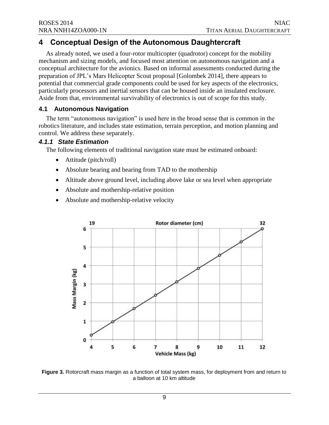## <span id="page-10-0"></span> **4 Conceptual Design of the Autonomous Daughtercraft**

 As already noted, we used a four-rotor multicopter (quadrotor) concept for the mobility mechanism and sizing models, and focused most attention on autonomous navigation and a conceptual architecture for the avionics. Based on informal assessments conducted during the preparation of JPL's Mars Helicopter Scout proposal [Golombek 2014], there appears to potential that commercial grade components could be used for key aspects of the electronics, particularly processors and inertial sensors that can be housed inside an insulated enclosure. Aside from that, environmental survivability of electronics is out of scope for this study.

#### **4.1 Autonomous Navigation**

The term "autonomous navigation" is used here in the broad sense that is common in the robotics literature, and includes state estimation, terrain perception, and motion planning and control. We address these separately.

#### *4.1.1 State Estimation*

The following elements of traditional navigation state must be estimated onboard:

- Attitude (pitch/roll)
- Absolute bearing and bearing from TAD to the mothership
- Altitude above ground level, including above lake or sea level when appropriate
- Absolute and mothership-relative position
- Absolute and mothership-relative velocity



**Figure 3.** Rotorcraft mass margin as a function of total system mass, for deployment from and return to a balloon at 10 km altitude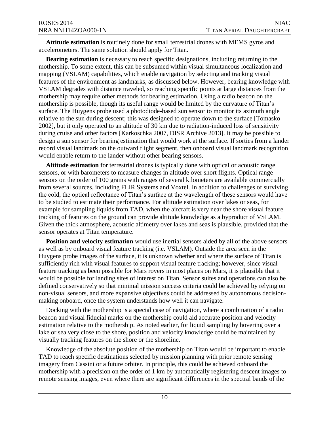**Attitude estimation** is routinely done for small terrestrial drones with MEMS gyros and accelerometers. The same solution should apply for Titan.

**Bearing estimation** is necessary to reach specific designations, including returning to the mothership. To some extent, this can be subsumed within visual simultaneous localization and mapping (VSLAM) capabilities, which enable navigation by selecting and tracking visual features of the environment as landmarks, as discussed below. However, bearing knowledge with VSLAM degrades with distance traveled, so reaching specific points at large distances from the mothership may require other methods for bearing estimation. Using a radio beacon on the mothership is possible, though its useful range would be limited by the curvature of Titan's surface. The Huygens probe used a photodiode-based sun sensor to monitor its azimuth angle relative to the sun during descent; this was designed to operate down to the surface [Tomasko 2002], but it only operated to an altitude of 30 km due to radiation-induced loss of sensitivity during cruise and other factors [Karkoschka 2007, DISR Archive 2013]. It may be possible to design a sun sensor for bearing estimation that would work at the surface. If sorties from a lander record visual landmark on the outward flight segment, then onboard visual landmark recognition would enable return to the lander without other bearing sensors.

**Altitude estimation** for terrestrial drones is typically done with optical or acoustic range sensors, or with barometers to measure changes in altitude over short flights. Optical range sensors on the order of 100 grams with ranges of several kilometers are available commercially from several sources, including FLIR Systems and Voxtel. In addition to challenges of surviving the cold, the optical reflectance of Titan's surface at the wavelength of these sensors would have to be studied to estimate their performance. For altitude estimation over lakes or seas, for example for sampling liquids from TAD, when the aircraft is very near the shore visual feature tracking of features on the ground can provide altitude knowledge as a byproduct of VSLAM. Given the thick atmosphere, acoustic altimetry over lakes and seas is plausible, provided that the sensor operates at Titan temperature.

**Position and velocity estimation** would use inertial sensors aided by all of the above sensors as well as by onboard visual feature tracking (i.e. VSLAM). Outside the area seen in the Huygens probe images of the surface, it is unknown whether and where the surface of Titan is sufficiently rich with visual features to support visual feature tracking; however, since visual feature tracking as been possible for Mars rovers in most places on Mars, it is plausible that it would be possible for landing sites of interest on Titan. Sensor suites and operations can also be defined conservatively so that minimal mission success criteria could be achieved by relying on non-visual sensors, and more expansive objectives could be addressed by autonomous decisionmaking onboard, once the system understands how well it can navigate.

Docking with the mothership is a special case of navigation, where a combination of a radio beacon and visual fiducial marks on the mothership could aid accurate position and velocity estimation relative to the mothership. As noted earlier, for liquid sampling by hovering over a lake or sea very close to the shore, position and velocity knowledge could be maintained by visually tracking features on the shore or the shoreline.

Knowledge of the absolute position of the mothership on Titan would be important to enable TAD to reach specific destinations selected by mission planning with prior remote sensing imagery from Cassini or a future orbiter. In principle, this could be achieved onboard the mothership with a precision on the order of 1 km by automatically registering descent images to remote sensing images, even where there are significant differences in the spectral bands of the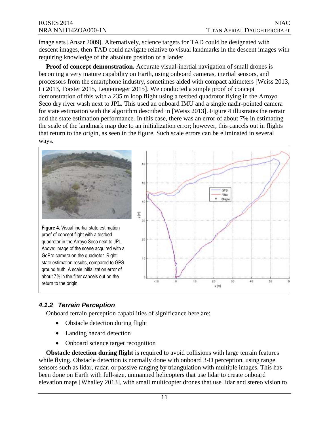<span id="page-12-0"></span>image sets [Ansar 2009]. Alternatively, science targets for TAD could be designated with descent images, then TAD could navigate relative to visual landmarks in the descent images with requiring knowledge of the absolute position of a lander.

**Proof of concept demonstration.** Accurate visual-inertial navigation of small drones is becoming a very mature capability on Earth, using onboard cameras, inertial sensors, and processors from the smartphone industry, sometimes aided with compact altimeters [Weiss 2013, Li 2013, Forster 2015, Leutenneger 2015]. We conducted a simple proof of concept demonstration of this with a 235 m loop flight using a testbed quadrotor flying in the Arroyo Seco dry river wash next to JPL. This used an onboard IMU and a single nadir-pointed camera for state estimation with the algorithm described in [Weiss 2013]. Figure 4 illustrates the terrain and the state estimation performance. In this case, there was an error of about 7% in estimating the scale of the landmark map due to an initialization error; however, this cancels out in flights that return to the origin, as seen in the figure. Such scale errors can be eliminated in several ways.



### *4.1.2 Terrain Perception*

Onboard terrain perception capabilities of significance here are:

- Obstacle detection during flight
- Landing hazard detection
- Onboard science target recognition

 sensors such as lidar, radar, or passive ranging by triangulation with multiple images. This has **Obstacle detection during flight** is required to avoid collisions with large terrain features while flying. Obstacle detection is normally done with onboard 3-D perception, using range been done on Earth with full-size, unmanned helicopters that use lidar to create onboard elevation maps [Whalley 2013], with small multicopter drones that use lidar and stereo vision to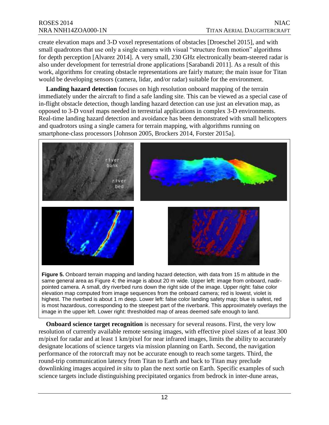would be developing sensors (camera, lidar, and/or radar) suitable for the environment. create elevation maps and 3-D voxel representations of obstacles [Droeschel 2015], and with small quadrotors that use only a single camera with visual "structure from motion" algorithms for depth perception [Alvarez 2014]. A very small, 230 GHz electronically beam-steered radar is also under development for terrestrial drone applications [Sarabandi 2011]. As a result of this work, algorithms for creating obstacle representations are fairly mature; the main issue for Titan

Landing hazard detection focuses on high resolution onboard mapping of the terrain immediately under the aircraft to find a safe landing site. This can be viewed as a special case of in-flight obstacle detection, though landing hazard detection can use just an elevation map, as opposed to 3-D voxel maps needed in terrestrial applications in complex 3-D environments. Real-time landing hazard detection and avoidance has been demonstrated with small helicopters and quadrotors using a single camera for terrain mapping, with algorithms running on smartphone-class processors [Johnson 2005, Brockers 2014, Forster 2015a].



same general area as Figure 4; the image is about 20 m wide. Upper left: image from onboard, nadirpointed camera. A small, dry riverbed runs down the right side of the image. Upper right: false color elevation map computed from image sequences from the onboard camera; red is lowest, violet is highest. The riverbed is about 1 m deep. Lower left: false color landing safety map; blue is safest, red is most hazardous, corresponding to the steepest part of the riverbank. This approximately overlays the image in the upper left. Lower right: thresholded map of areas deemed safe enough to land.

 **Onboard science target recognition** is necessary for several reasons. First, the very low resolution of currently available remote sensing images, with effective pixel sizes of at least 300 m/pixel for radar and at least 1 km/pixel for near infrared images, limits the ability to accurately designate locations of science targets via mission planning on Earth. Second, the navigation performance of the rotorcraft may not be accurate enough to reach some targets. Third, the round-trip communication latency from Titan to Earth and back to Titan may preclude downlinking images acquired *in situ* to plan the next sortie on Earth. Specific examples of such science targets include distinguishing precipitated organics from bedrock in inter-dune areas,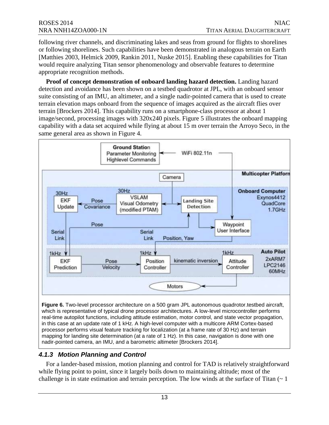<span id="page-14-0"></span> would require analyzing Titan sensor phenomenology and observable features to determine following river channels, and discriminating lakes and seas from ground for flights to shorelines or following shorelines. Such capabilities have been demonstrated in analogous terrain on Earth [Matthies 2003, Helmick 2009, Rankin 2011, Nuske 2015]. Enabling these capabilities for Titan appropriate recognition methods.

 image/second, processing images with 320x240 pixels. Figure 5 illustrates the onboard mapping capability with a data set acquired while flying at about 15 m over terrain the Arroyo Seco, in the same general area as shown in Figure 4. **Proof of concept demonstration of onboard landing hazard detection.** Landing hazard detection and avoidance has been shown on a testbed quadrotor at JPL, with an onboard sensor suite consisting of an IMU, an altimeter, and a single nadir-pointed camera that is used to create terrain elevation maps onboard from the sequence of images acquired as the aircraft flies over terrain [Brockers 2014]. This capability runs on a smartphone-class processor at about 1



#### *4.1.3 Motion Planning and Control*

nadir-pointed camera, an IMU, and a barometric altimeter [Brockers 2014].

For a lander-based mission, motion planning and control for TAD is relatively straightforward while flying point to point, since it largely boils down to maintaining altitude; most of the challenge is in state estimation and terrain perception. The low winds at the surface of Titan  $(2 \times 1)$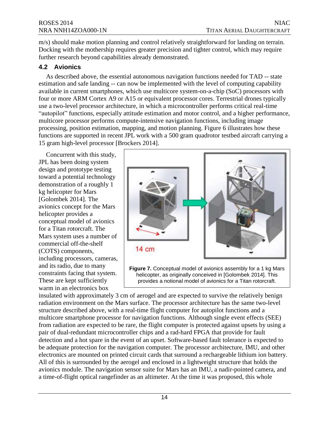<span id="page-15-0"></span>m/s) should make motion planning and control relatively straightforward for landing on terrain. Docking with the mothership requires greater precision and tighter control, which may require further research beyond capabilities already demonstrated.

#### **4.2 Avionics**

 As described above, the essential autonomous navigation functions needed for TAD -- state estimation and safe landing -- can now be implemented with the level of computing capability processing, position estimation, mapping, and motion planning. Figure 6 illustrates how these available in current smartphones, which use multicore system-on-a-chip (SoC) processors with four or more ARM Cortex A9 or A15 or equivalent processor cores. Terrestrial drones typically use a two-level processor architecture, in which a microcontroller performs critical real-time "autopilot" functions, especially attitude estimation and motor control, and a higher performance, multicore processor performs compute-intensive navigation functions, including image functions are supported in recent JPL work with a 500 gram quadrotor testbed aircraft carrying a 15 gram high-level processor [Brockers 2014].

 demonstration of a roughly 1 [Golombek 2014]. The helicopter provides a conceptual model of avionics Concurrent with this study, JPL has been doing system design and prototype testing toward a potential technology kg helicopter for Mars avionics concept for the Mars for a Titan rotorcraft. The Mars system uses a number of commercial off-the-shelf (COTS) components, including processors, cameras, and its radio, due to many constraints facing that system. These are kept sufficiently warm in an electronics box



helicopter, as originally conceived in [Golombek 2014]. This provides a notional model of avionics for a Titan rotorcraft.

 multicore smartphone processor for navigation functions. Although single event effects (SEE) All of this is surrounded by the aerogel and enclosed in a lightweight structure that holds the insulated with approximately 3 cm of aerogel and are expected to survive the relatively benign radiation environment on the Mars surface. The processor architecture has the same two-level structure described above, with a real-time flight computer for autopilot functions and a from radiation are expected to be rare, the flight computer is protected against upsets by using a pair of dual-redundant microcontroller chips and a rad-hard FPGA that provide for fault detection and a hot spare in the event of an upset. Software-based fault tolerance is expected to be adequate protection for the navigation computer. The processor architecture, IMU, and other electronics are mounted on printed circuit cards that surround a rechargeable lithium ion battery. avionics module. The navigation sensor suite for Mars has an IMU, a nadir-pointed camera, and a time-of-flight optical rangefinder as an altimeter. At the time it was proposed, this whole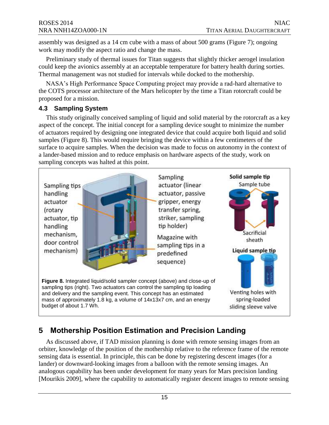<span id="page-16-0"></span> assembly was designed as a 14 cm cube with a mass of about 500 grams (Figure 7); ongoing work may modify the aspect ratio and change the mass.

Preliminary study of thermal issues for Titan suggests that slightly thicker aerogel insulation could keep the avionics assembly at an acceptable temperature for battery health during sorties. Thermal management was not studied for intervals while docked to the mothership.

 proposed for a mission. NASA's High Performance Space Computing project may provide a rad-hard alternative to the COTS processor architecture of the Mars helicopter by the time a Titan rotorcraft could be

#### **4.3 Sampling System**

 aspect of the concept. The initial concept for a sampling device sought to minimize the number a lander-based mission and to reduce emphasis on hardware aspects of the study, work on This study originally conceived sampling of liquid and solid material by the rotorcraft as a key of actuators required by designing one integrated device that could acquire both liquid and solid samples (Figure 8). This would require bringing the device within a few centimeters of the surface to acquire samples. When the decision was made to focus on autonomy in the context of sampling concepts was halted at this point.



## **5 Mothership Position Estimation and Precision Landing**

 orbiter, knowledge of the position of the mothership relative to the reference frame of the remote As discussed above, if TAD mission planning is done with remote sensing images from an sensing data is essential. In principle, this can be done by registering descent images (for a lander) or downward-looking images from a balloon with the remote sensing images. An analogous capability has been under development for many years for Mars precision landing [Mourikis 2009], where the capability to automatically register descent images to remote sensing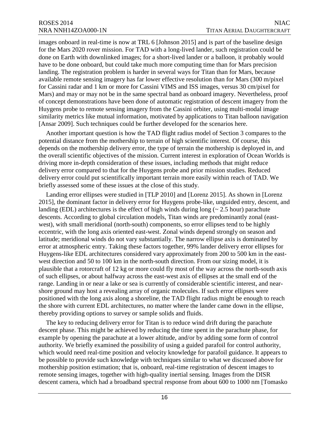images onboard in real-time is now at TRL 6 [Johnson 2015] and is part of the baseline design for the Mars 2020 rover mission. For TAD with a long-lived lander, such registration could be done on Earth with downlinked images; for a short-lived lander or a balloon, it probably would have to be done onboard, but could take much more computing time than for Mars precision landing. The registration problem is harder in several ways for Titan than for Mars, because available remote sensing imagery has far lower effective resolution than for Mars (300 m/pixel for Cassini radar and 1 km or more for Cassini VIMS and ISS images, versus 30 cm/pixel for Mars) and may or may not be in the same spectral band as onboard imagery. Nevertheless, proof of concept demonstrations have been done of automatic registration of descent imagery from the Huygens probe to remote sensing imagery from the Cassini orbiter, using multi-modal image similarity metrics like mutual information, motivated by applications to Titan balloon navigation [Ansar 2009]. Such techniques could be further developed for the scenarios here.

Another important question is how the TAD flight radius model of Section 3 compares to the potential distance from the mothership to terrain of high scientific interest. Of course, this depends on the mothership delivery error, the type of terrain the mothership is deployed in, and the overall scientific objectives of the mission. Current interest in exploration of Ocean Worlds is driving more in-depth consideration of these issues, including methods that might reduce delivery error compared to that for the Huygens probe and prior mission studies. Reduced delivery error could put scientifically important terrain more easily within reach of TAD. We briefly assessed some of these issues at the close of this study.

 plausible that a rotorcraft of 12 kg or more could fly most of the way across the north-south axis Landing error ellipses were studied in [TLP 2010] and [Lorenz 2015]. As shown in [Lorenz 2015], the dominant factor in delivery error for Huygens probe-like, unguided entry, descent, and landing (EDL) architectures is the effect of high winds during long ( $\sim 2.5$  hour) parachute descents. According to global circulation models, Titan winds are predominantly zonal (eastwest), with small meridional (north-south) components, so error ellipses tend to be highly eccentric, with the long axis oriented east-west. Zonal winds depend strongly on season and latitude; meridional winds do not vary substantially. The narrow ellipse axis is dominated by error at atmospheric entry. Taking these factors together, 99% lander delivery error ellipses for Huygens-like EDL architectures considered vary approximately from 200 to 500 km in the eastwest direction and 50 to 100 km in the north-south direction. From our sizing model, it is of such ellipses, or about halfway across the east-west axis of ellipses at the small end of the range. Landing in or near a lake or sea is currently of considerable scientific interest, and nearshore ground may host a revealing array of organic molecules. If such error ellipses were positioned with the long axis along a shoreline, the TAD flight radius might be enough to reach the shore with current EDL architectures, no matter where the lander came down in the ellipse, thereby providing options to survey or sample solids and fluids.

The key to reducing delivery error for Titan is to reduce wind drift during the parachute descent phase. This might be achieved by reducing the time spent in the parachute phase, for example by opening the parachute at a lower altitude, and/or by adding some form of control authority. We briefly examined the possibility of using a guided parafoil for control authority, which would need real-time position and velocity knowledge for parafoil guidance. It appears to be possible to provide such knowledge with techniques similar to what we discussed above for mothership position estimation; that is, onboard, real-time registration of descent images to remote sensing images, together with high-quality inertial sensing. Images from the DISR descent camera, which had a broadband spectral response from about 600 to 1000 nm [Tomasko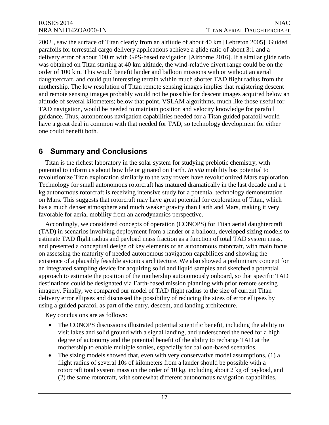<span id="page-18-0"></span> parafoils for terrestrial cargo delivery applications achieve a glide ratio of about 3:1 and a 2002], saw the surface of Titan clearly from an altitude of about 40 km [Lebreton 2005]. Guided delivery error of about 100 m with GPS-based navigation [Airborne 2016]. If a similar glide ratio was obtained on Titan starting at 40 km altitude, the wind-relative divert range could be on the order of 100 km. This would benefit lander and balloon missions with or without an aerial daughtercraft, and could put interesting terrain within much shorter TAD flight radius from the mothership. The low resolution of Titan remote sensing images implies that registering descent and remote sensing images probably would not be possible for descent images acquired below an altitude of several kilometers; below that point, VSLAM algorithms, much like those useful for TAD navigation, would be needed to maintain position and velocity knowledge for parafoil guidance. Thus, autonomous navigation capabilities needed for a Titan guided parafoil would have a great deal in common with that needed for TAD, so technology development for either one could benefit both.

## **6 Summary and Conclusions**

Titan is the richest laboratory in the solar system for studying prebiotic chemistry, with potential to inform us about how life originated on Earth. *In situ* mobility has potential to revolutionize Titan exploration similarly to the way rovers have revolutionized Mars exploration. Technology for small autonomous rotorcraft has matured dramatically in the last decade and a 1 kg autonomous rotorcraft is receiving intensive study for a potential technology demonstration on Mars. This suggests that rotorcraft may have great potential for exploration of Titan, which has a much denser atmosphere and much weaker gravity than Earth and Mars, making it very favorable for aerial mobility from an aerodynamics perspective.

 existence of a plausibly feasible avionics architecture. We also showed a preliminary concept for Accordingly, we considered concepts of operation (CONOPS) for Titan aerial daughtercraft (TAD) in scenarios involving deployment from a lander or a balloon, developed sizing models to estimate TAD flight radius and payload mass fraction as a function of total TAD system mass, and presented a conceptual design of key elements of an autonomous rotorcraft, with main focus on assessing the maturity of needed autonomous navigation capabilities and showing the an integrated sampling device for acquiring solid and liquid samples and sketched a potential approach to estimate the position of the mothership autonomously onboard, so that specific TAD destinations could be designated via Earth-based mission planning with prior remote sensing imagery. Finally, we compared our model of TAD flight radius to the size of current Titan delivery error ellipses and discussed the possibility of reducing the sizes of error ellipses by using a guided parafoil as part of the entry, descent, and landing architecture.

Key conclusions are as follows:

- The CONOPS discussions illustrated potential scientific benefit, including the ability to visit lakes and solid ground with a signal landing, and underscored the need for a high degree of autonomy and the potential benefit of the ability to recharge TAD at the mothership to enable multiple sorties, especially for balloon-based scenarios.
- The sizing models showed that, even with very conservative model assumptions,  $(1)$  a flight radius of several 10s of kilometers from a lander should be possible with a rotorcraft total system mass on the order of 10 kg, including about 2 kg of payload, and (2) the same rotorcraft, with somewhat different autonomous navigation capabilities,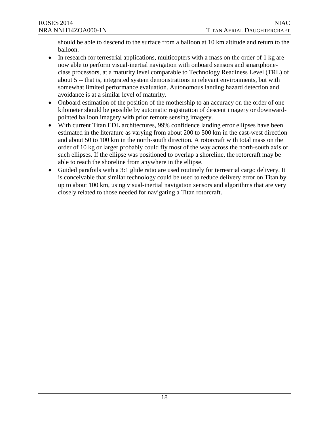should be able to descend to the surface from a balloon at 10 km altitude and return to the balloon.

- $\bullet$  In research for terrestrial applications, multicopters with a mass on the order of 1 kg are now able to perform visual-inertial navigation with onboard sensors and smartphoneclass processors, at a maturity level comparable to Technology Readiness Level (TRL) of about 5 -- that is, integrated system demonstrations in relevant environments, but with somewhat limited performance evaluation. Autonomous landing hazard detection and avoidance is at a similar level of maturity.
- Onboard estimation of the position of the mothership to an accuracy on the order of one kilometer should be possible by automatic registration of descent imagery or downwardpointed balloon imagery with prior remote sensing imagery.
- With current Titan EDL architectures, 99% confidence landing error ellipses have been estimated in the literature as varying from about 200 to 500 km in the east-west direction and about 50 to 100 km in the north-south direction. A rotorcraft with total mass on the order of 10 kg or larger probably could fly most of the way across the north-south axis of such ellipses. If the ellipse was positioned to overlap a shoreline, the rotorcraft may be able to reach the shoreline from anywhere in the ellipse.
- Guided parafoils with a 3:1 glide ratio are used routinely for terrestrial cargo delivery. It is conceivable that similar technology could be used to reduce delivery error on Titan by up to about 100 km, using visual-inertial navigation sensors and algorithms that are very closely related to those needed for navigating a Titan rotorcraft.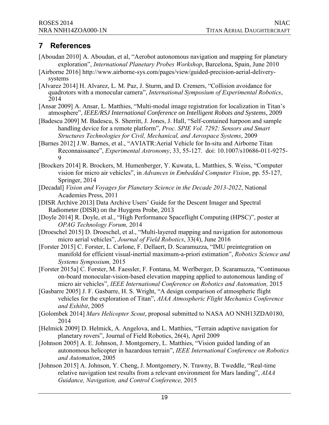## <span id="page-20-0"></span>**7 References**

- **[Aboudan 2010] A. Aboudan, et al, "Aerobot autonomous navigation and mapping for planetary exploration",** *International Planetary Probes Workshop***, Barcelona, Spain, June 2010**
- **[Airborne 2016] http://www.airborne-sys.com/pages/view/guided-precision-aerial-deliverysystems**
- [Alvarez 2014] H. Alvarez, L. M. Paz, J. Sturm, and D. Cremers, "Collision avoidance for **quadrotors with a monocular camera",** *International Symposium of Experimental Robotics***, 2014**
- **[Ansar 2009] A.** Ansar, L. Matthies, "Multi-modal image registration for localization in Titan's atmosphere", *IEEE/RSJ International Conference on Intelligent Robots and Systems*, 2009
- **[Badescu 2009] M. Badescu, S. Sherritt, J. Jones, J. Hall, "Self-contained harpoon and sample handling device for a remote platform",** *Proc. SPIE Vol. 7292: Sensors and Smart Structures Technologies for Civil, Mechanical, and Aerospace Systems***, 2009**
- **[Barnes 2012] J.W. Barnes, et al., "AVIATR:Aerial Vehicle for In-situ and Airborne Titan Reconnaissance",** *Experimental Astronomy***, 33, 55-127. doi: 10.1007/s10686-011-9275- 9**
- **[Brockers 2014] R. Brockers, M. Humenberger, Y. Kuwata, L. Matthies, S. Weiss, "Computer vision for micro air vehicles", in** *Advances in Embedded Computer Vision***, pp. 55-127, Springer, 2014**
- **[Decadal]** *Vision and Voyages for Planetary Science in the Decade 2013-2022***, National Academies Press, 2011**
- [DISR Archive 2013] Data Archive Users' Guide for the Descent Imager and Spectral Radiometer (DISR) on the Huygens Probe, 2013
- **[Doyle 2014] R. Doyle, et al., "High Performance Spaceflight Computing (HPSC)", poster at**  *OPAG Technology Forum,* **2014**
- **[Droeschel 2015] D. Droeschel, et al., "Multi-layered mapping and navigation for autonomous micro aerial vehicles",** *Journal of Field Robotics***, 33(4), June 2016**
- **[Forster 2015] C. Forster, L. Carlone, F. Dellaert, D. Scaramuzza, "IMU preintegration on manifold for efficient visual-inertial maximum-a-priori estimation",** *Robotics Science and Systems Symposium,* **2015**
- **micro air vehicles",** *IEEE International Conference on Robotics and Automation,* **2015 [Forster 2015a] C. Forster, M. Faessler, F. Fontana, M. Werlberger, D. Scaramuzza, "Continuous on-board monocular-vision-based elevation mapping applied to autonomous landing of**
- **[Gasbarre 2005] J. F. Gasbarre, H. S. Wright, "A design comparison of atmospheric flight vehicles for the exploration of Titan",** *AIAA Atmospheric Flight Mechanics Conference and Exhibit***, 2005**
- **[Golombek 2014]** *Mars Helicopter Scout***, proposal submitted to NASA AO NNH13ZDA0180, 2014**
- **[Helmick 2009] D. Helmick, A. Angelova, and L. Matthies, "Terrain adaptive navigation for planetary rovers", Journal of Field Robotics, 26(4), April 2009**
- **[Johnson 2005] A. E. Johnson, J. Montgomery, L. Matthies, "Vision guided landing of an autonomous helicopter in hazardous terrain",** *IEEE International Conference on Robotics and Automation***, 2005**
- *Guidance, Navigation, and Control Conference,* **2015 [Johnson 2015] A. Johnson, Y. Cheng, J. Montgomery, N. Trawny, B. Tweddle, "Real-time relative navigation test results from a relevant environment for Mars landing",** *AIAA*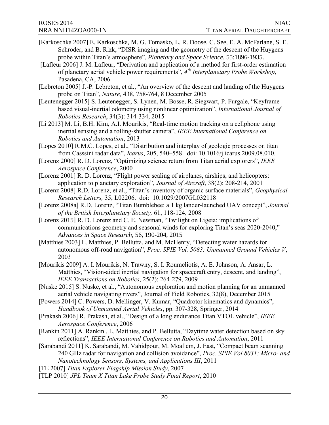- [Karkoschka 2007] E. Karkoschka, M. G. Tomasko, L. R. Doose, C. See, E. A. McFarlane, S. E. Schroder, and B. Rizk, "DISR imaging and the geometry of the descent of the Huygens probe within Titan's atmosphere", *Planetary and Space Science*, 55:1896-1935.
- **[Lafleur 2006] J. M. Lafleur, "Derivation and application of a method for first-order estimation of planetary aerial vehicle power requirements",** *4th Interplanetary Probe Workshop***, Pasadena, CA, 2006**
- **[Lebreton 2005] J.-P. Lebreton, et al., "An overview of the descent and landing of the Huygens probe on Titan",** *Nature,* **438, 758-764, 8 December 2005**
- **[Leutenegger 2015] S. Leutenegger, S. Lynen, M. Bosse, R. Siegwart, P. Furgale, "Keyframebased visual-inertial odometry using nonlinear optimization",** *International Journal of Robotics Research***, 34(3): 314-334, 2015**
- **[Li 2013] M. Li, B.H. Kim, A.I. Mourikis, "Real-time motion tracking on a cellphone using inertial sensing and a rolling-shutter camera",** *IEEE International Conference on Robotics and Automation***, 2013**
- **[Lopes 2010] R.M.C. Lopes, et al., "Distribution and interplay of geologic processes on titan from Casssini radar data",** *Icarus***, 205, 540–558. doi: 10.1016/j.icarus.2009.08.010.**
- **[Lorenz 2000] R. D. Lorenz, "Optimizing science return from Titan aerial explorers",** *IEEE Aerospace Conference***, 2000**
- **[Lorenz 2001] R. D. Lorenz, "Flight power scaling of airplanes, airships, and helicopters: application to planetary exploration",** *Journal of Aircraft***, 38(2): 208-214, 2001**
- **[Lorenz 2008] R.D. Lorenz, et al., "Titan's inventory of organic surface materials",** *Geophysical Research Letters,* **35, L02206. doi: 10.1029/2007GL032118**
- **[Lorenz 2008a] R.D. Lorenz, "Titan Bumblebee: a 1 kg lander-launched UAV concept",** *Journal of the British Interplanetary Society,* **61, 118-124, 2008**
- [Lorenz 2015] R. D. Lorenz and C. E. Newman, "Twilight on Ligeia: implications of communications geometry and seasonal winds for exploring Titan's seas 2020-2040," *Advances in Space Research*, 56, 190-204, 2015
- **[Matthies 2003] L. Matthies, P. Bellutta, and M. McHenry, "Detecting water hazards for autonomous off-road navigation",** *Proc. SPIE Vol. 5083: Unmanned Ground Vehicles V***, 2003**
- **[Mourikis 2009] A. I. Mourikis, N. Trawny, S. I. Roumeliotis, A. E. Johnson, A. Ansar, L. Matthies, "Vision-aided inertial navigation for spacecraft entry, descent, and landing",**  *IEEE Transactions on Robotics***, 25(2): 264-279, 2009**
- **[Nuske 2015] S. Nuske, et al., "Autonomous exploration and motion planning for an unmanned aerial vehicle navigating rivers", Journal of Field Robotics, 32(8), December 2015**
- **[Powers 2014] C. Powers, D. Mellinger, V. Kumar, "Quadrotor kinematics and dynamics",**  *Handbook of Unmanned Aerial Vehicles***, pp. 307-328, Springer, 2014**
- **[Prakash 2006] R. Prakash, et al., "Design of a long endurance Titan VTOL vehicle",** *IEEE Aerospace Conference***, 2006**
- **[Rankin 2011] A. Rankin., L. Matthies, and P. Bellutta, "Daytime water detection based on sky reflections",** *IEEE International Conference on Robotics and Automation***, 2011**
- **[Sarabandi 2011] K. Sarabandi, M. Vahidpour, M. Moallem, J. East, "Compact beam scanning 240 GHz radar for navigation and collision avoidance",** *Proc. SPIE Vol 8031: Micro- and Nanotechnology Sensors, Systems, and Applications III***, 2011**
- **[TE 2007]** *Titan Explorer Flagship Mission Study***, 2007**
- **[TLP 2010]** *JPL Team X Titan Lake Probe Study Final Report***, 2010**